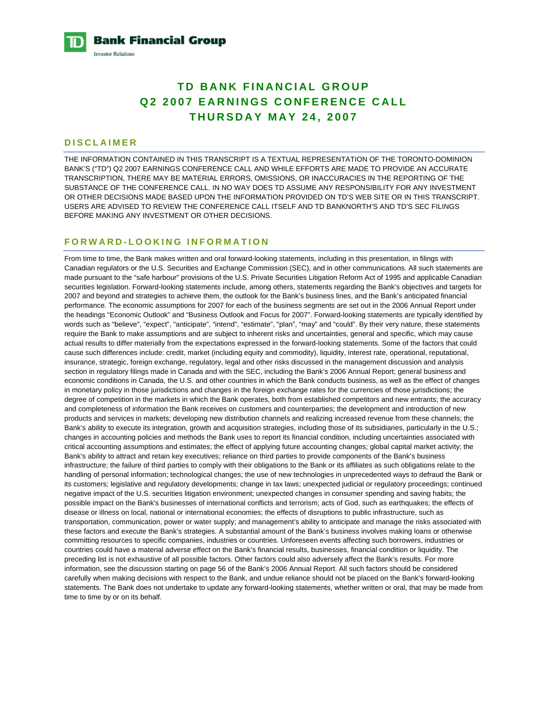**Bank Financial Group Investor Relations** 

# **TD BANK FINANCIAL GROUP Q2 2007 EARNINGS CONFERENCE CALL THURSDAY MAY 24, 2007**

# **DISCLAIMER**

THE INFORMATION CONTAINED IN THIS TRANSCRIPT IS A TEXTUAL REPRESENTATION OF THE TORONTO-DOMINION BANK'S ("TD") Q2 2007 EARNINGS CONFERENCE CALL AND WHILE EFFORTS ARE MADE TO PROVIDE AN ACCURATE TRANSCRIPTION, THERE MAY BE MATERIAL ERRORS, OMISSIONS, OR INACCURACIES IN THE REPORTING OF THE SUBSTANCE OF THE CONFERENCE CALL. IN NO WAY DOES TD ASSUME ANY RESPONSIBILITY FOR ANY INVESTMENT OR OTHER DECISIONS MADE BASED UPON THE INFORMATION PROVIDED ON TD'S WEB SITE OR IN THIS TRANSCRIPT. USERS ARE ADVISED TO REVIEW THE CONFERENCE CALL ITSELF AND TD BANKNORTH'S AND TD'S SEC FILINGS BEFORE MAKING ANY INVESTMENT OR OTHER DECISIONS.

# **FORWARD-LOOKING INFORMATION**

From time to time, the Bank makes written and oral forward-looking statements, including in this presentation, in filings with Canadian regulators or the U.S. Securities and Exchange Commission (SEC), and in other communications. All such statements are made pursuant to the "safe harbour" provisions of the U.S. Private Securities Litigation Reform Act of 1995 and applicable Canadian securities legislation. Forward-looking statements include, among others, statements regarding the Bank's objectives and targets for 2007 and beyond and strategies to achieve them, the outlook for the Bank's business lines, and the Bank's anticipated financial performance. The economic assumptions for 2007 for each of the business segments are set out in the 2006 Annual Report under the headings "Economic Outlook" and "Business Outlook and Focus for 2007". Forward-looking statements are typically identified by words such as "believe", "expect", "anticipate", "intend", "estimate", "plan", "may" and "could". By their very nature, these statements require the Bank to make assumptions and are subject to inherent risks and uncertainties, general and specific, which may cause actual results to differ materially from the expectations expressed in the forward-looking statements. Some of the factors that could cause such differences include: credit, market (including equity and commodity), liquidity, interest rate, operational, reputational, insurance, strategic, foreign exchange, regulatory, legal and other risks discussed in the management discussion and analysis section in regulatory filings made in Canada and with the SEC, including the Bank's 2006 Annual Report; general business and economic conditions in Canada, the U.S. and other countries in which the Bank conducts business, as well as the effect of changes in monetary policy in those jurisdictions and changes in the foreign exchange rates for the currencies of those jurisdictions; the degree of competition in the markets in which the Bank operates, both from established competitors and new entrants; the accuracy and completeness of information the Bank receives on customers and counterparties; the development and introduction of new products and services in markets; developing new distribution channels and realizing increased revenue from these channels; the Bank's ability to execute its integration, growth and acquisition strategies, including those of its subsidiaries, particularly in the U.S.; changes in accounting policies and methods the Bank uses to report its financial condition, including uncertainties associated with critical accounting assumptions and estimates; the effect of applying future accounting changes; global capital market activity; the Bank's ability to attract and retain key executives; reliance on third parties to provide components of the Bank's business infrastructure; the failure of third parties to comply with their obligations to the Bank or its affiliates as such obligations relate to the handling of personal information; technological changes; the use of new technologies in unprecedented ways to defraud the Bank or its customers; legislative and regulatory developments; change in tax laws; unexpected judicial or regulatory proceedings; continued negative impact of the U.S. securities litigation environment; unexpected changes in consumer spending and saving habits; the possible impact on the Bank's businesses of international conflicts and terrorism; acts of God, such as earthquakes; the effects of disease or illness on local, national or international economies; the effects of disruptions to public infrastructure, such as transportation, communication, power or water supply; and management's ability to anticipate and manage the risks associated with these factors and execute the Bank's strategies. A substantial amount of the Bank's business involves making loans or otherwise committing resources to specific companies, industries or countries. Unforeseen events affecting such borrowers, industries or countries could have a material adverse effect on the Bank's financial results, businesses, financial condition or liquidity. The preceding list is not exhaustive of all possible factors. Other factors could also adversely affect the Bank's results. For more information, see the discussion starting on page 56 of the Bank's 2006 Annual Report. All such factors should be considered carefully when making decisions with respect to the Bank, and undue reliance should not be placed on the Bank's forward-looking statements. The Bank does not undertake to update any forward-looking statements, whether written or oral, that may be made from time to time by or on its behalf.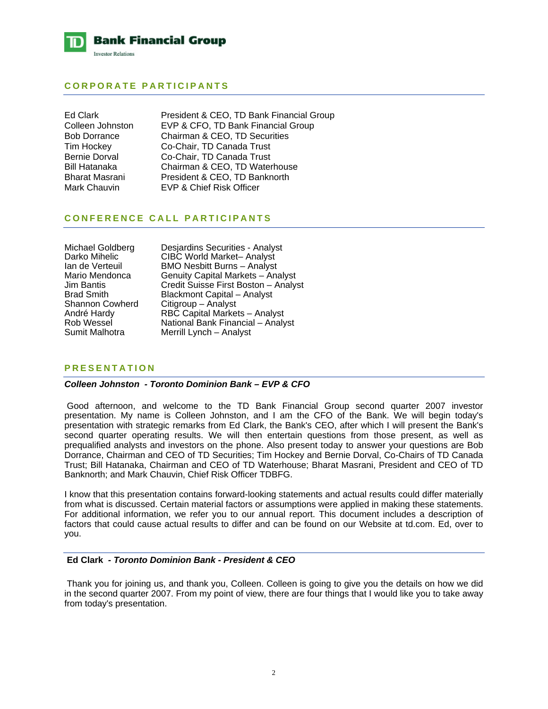

# **CORPORATE PARTICIPANTS**

Ed Clark President & CEO, TD Bank Financial Group Colleen Johnston EVP & CFO, TD Bank Financial Group Bob Dorrance Chairman & CEO, TD Securities Tim Hockey Co-Chair, TD Canada Trust Bernie Dorval Co-Chair, TD Canada Trust Bill Hatanaka Chairman & CEO, TD Waterhouse Bharat Masrani President & CEO, TD Banknorth Mark Chauvin EVP & Chief Risk Officer

# **CONFERENCE CALL PARTICIPANTS**

| Michael Goldberg       | Desjardins Securities - Analyst      |
|------------------------|--------------------------------------|
| Darko Mihelic          | <b>CIBC World Market-Analyst</b>     |
| lan de Verteuil        | <b>BMO Nesbitt Burns - Analyst</b>   |
| Mario Mendonca         | Genuity Capital Markets - Analyst    |
| Jim Bantis             | Credit Suisse First Boston - Analyst |
| <b>Brad Smith</b>      | <b>Blackmont Capital - Analyst</b>   |
| <b>Shannon Cowherd</b> | Citigroup - Analyst                  |
| André Hardy            | RBC Capital Markets - Analyst        |
| Rob Wessel             | National Bank Financial - Analyst    |
| Sumit Malhotra         | Merrill Lynch - Analyst              |
|                        |                                      |

# **PRESENTATION**

# *Colleen Johnston - Toronto Dominion Bank – EVP & CFO*

 Good afternoon, and welcome to the TD Bank Financial Group second quarter 2007 investor presentation. My name is Colleen Johnston, and I am the CFO of the Bank. We will begin today's presentation with strategic remarks from Ed Clark, the Bank's CEO, after which I will present the Bank's second quarter operating results. We will then entertain questions from those present, as well as prequalified analysts and investors on the phone. Also present today to answer your questions are Bob Dorrance, Chairman and CEO of TD Securities; Tim Hockey and Bernie Dorval, Co-Chairs of TD Canada Trust; Bill Hatanaka, Chairman and CEO of TD Waterhouse; Bharat Masrani, President and CEO of TD Banknorth; and Mark Chauvin, Chief Risk Officer TDBFG.

I know that this presentation contains forward-looking statements and actual results could differ materially from what is discussed. Certain material factors or assumptions were applied in making these statements. For additional information, we refer you to our annual report. This document includes a description of factors that could cause actual results to differ and can be found on our Website at td.com. Ed, over to you.

#### **Ed Clark** *- Toronto Dominion Bank - President & CEO*

 Thank you for joining us, and thank you, Colleen. Colleen is going to give you the details on how we did in the second quarter 2007. From my point of view, there are four things that I would like you to take away from today's presentation.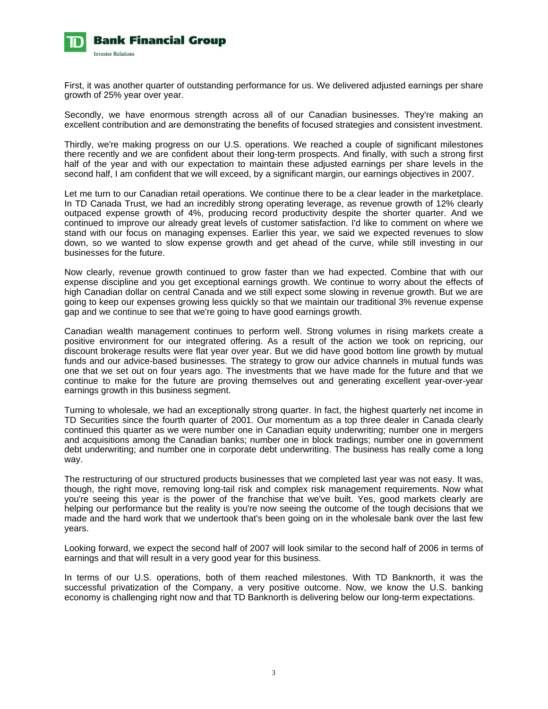

First, it was another quarter of outstanding performance for us. We delivered adjusted earnings per share growth of 25% year over year.

Secondly, we have enormous strength across all of our Canadian businesses. They're making an excellent contribution and are demonstrating the benefits of focused strategies and consistent investment.

Thirdly, we're making progress on our U.S. operations. We reached a couple of significant milestones there recently and we are confident about their long-term prospects. And finally, with such a strong first half of the year and with our expectation to maintain these adjusted earnings per share levels in the second half, I am confident that we will exceed, by a significant margin, our earnings objectives in 2007.

Let me turn to our Canadian retail operations. We continue there to be a clear leader in the marketplace. In TD Canada Trust, we had an incredibly strong operating leverage, as revenue growth of 12% clearly outpaced expense growth of 4%, producing record productivity despite the shorter quarter. And we continued to improve our already great levels of customer satisfaction. I'd like to comment on where we stand with our focus on managing expenses. Earlier this year, we said we expected revenues to slow down, so we wanted to slow expense growth and get ahead of the curve, while still investing in our businesses for the future.

Now clearly, revenue growth continued to grow faster than we had expected. Combine that with our expense discipline and you get exceptional earnings growth. We continue to worry about the effects of high Canadian dollar on central Canada and we still expect some slowing in revenue growth. But we are going to keep our expenses growing less quickly so that we maintain our traditional 3% revenue expense gap and we continue to see that we're going to have good earnings growth.

Canadian wealth management continues to perform well. Strong volumes in rising markets create a positive environment for our integrated offering. As a result of the action we took on repricing, our discount brokerage results were flat year over year. But we did have good bottom line growth by mutual funds and our advice-based businesses. The strategy to grow our advice channels in mutual funds was one that we set out on four years ago. The investments that we have made for the future and that we continue to make for the future are proving themselves out and generating excellent year-over-year earnings growth in this business segment.

Turning to wholesale, we had an exceptionally strong quarter. In fact, the highest quarterly net income in TD Securities since the fourth quarter of 2001. Our momentum as a top three dealer in Canada clearly continued this quarter as we were number one in Canadian equity underwriting; number one in mergers and acquisitions among the Canadian banks; number one in block tradings; number one in government debt underwriting; and number one in corporate debt underwriting. The business has really come a long way.

The restructuring of our structured products businesses that we completed last year was not easy. It was, though, the right move, removing long-tail risk and complex risk management requirements. Now what you're seeing this year is the power of the franchise that we've built. Yes, good markets clearly are helping our performance but the reality is you're now seeing the outcome of the tough decisions that we made and the hard work that we undertook that's been going on in the wholesale bank over the last few years.

Looking forward, we expect the second half of 2007 will look similar to the second half of 2006 in terms of earnings and that will result in a very good year for this business.

In terms of our U.S. operations, both of them reached milestones. With TD Banknorth, it was the successful privatization of the Company, a very positive outcome. Now, we know the U.S. banking economy is challenging right now and that TD Banknorth is delivering below our long-term expectations.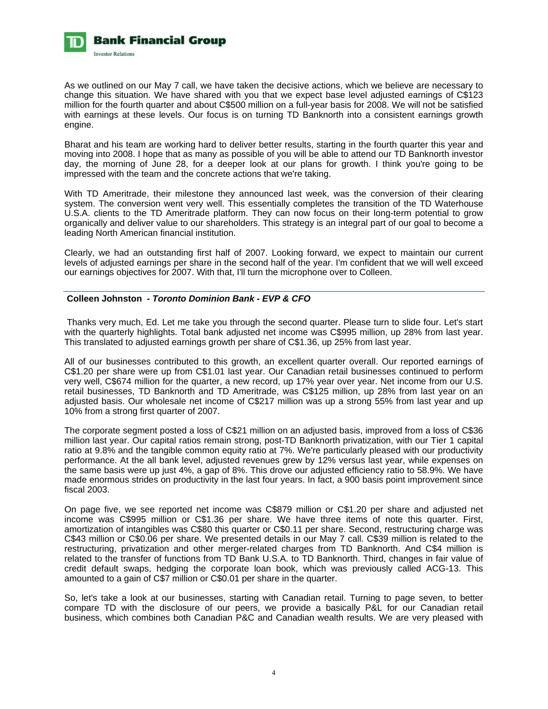

As we outlined on our May 7 call, we have taken the decisive actions, which we believe are necessary to change this situation. We have shared with you that we expect base level adjusted earnings of C\$123 million for the fourth quarter and about C\$500 million on a full-year basis for 2008. We will not be satisfied with earnings at these levels. Our focus is on turning TD Banknorth into a consistent earnings growth engine.

Bharat and his team are working hard to deliver better results, starting in the fourth quarter this year and moving into 2008. I hope that as many as possible of you will be able to attend our TD Banknorth investor day, the morning of June 28, for a deeper look at our plans for growth. I think you're going to be impressed with the team and the concrete actions that we're taking.

With TD Ameritrade, their milestone they announced last week, was the conversion of their clearing system. The conversion went very well. This essentially completes the transition of the TD Waterhouse U.S.A. clients to the TD Ameritrade platform. They can now focus on their long-term potential to grow organically and deliver value to our shareholders. This strategy is an integral part of our goal to become a leading North American financial institution.

Clearly, we had an outstanding first half of 2007. Looking forward, we expect to maintain our current levels of adjusted earnings per share in the second half of the year. I'm confident that we will well exceed our earnings objectives for 2007. With that, I'll turn the microphone over to Colleen.

# **Colleen Johnston** *- Toronto Dominion Bank - EVP & CFO*

 Thanks very much, Ed. Let me take you through the second quarter. Please turn to slide four. Let's start with the quarterly highlights. Total bank adjusted net income was C\$995 million, up 28% from last year. This translated to adjusted earnings growth per share of C\$1.36, up 25% from last year.

All of our businesses contributed to this growth, an excellent quarter overall. Our reported earnings of C\$1.20 per share were up from C\$1.01 last year. Our Canadian retail businesses continued to perform very well, C\$674 million for the quarter, a new record, up 17% year over year. Net income from our U.S. retail businesses, TD Banknorth and TD Ameritrade, was C\$125 million, up 28% from last year on an adjusted basis. Our wholesale net income of C\$217 million was up a strong 55% from last year and up 10% from a strong first quarter of 2007.

The corporate segment posted a loss of C\$21 million on an adjusted basis, improved from a loss of C\$36 million last year. Our capital ratios remain strong, post-TD Banknorth privatization, with our Tier 1 capital ratio at 9.8% and the tangible common equity ratio at 7%. We're particularly pleased with our productivity performance. At the all bank level, adjusted revenues grew by 12% versus last year, while expenses on the same basis were up just 4%, a gap of 8%. This drove our adjusted efficiency ratio to 58.9%. We have made enormous strides on productivity in the last four years. In fact, a 900 basis point improvement since fiscal 2003.

On page five, we see reported net income was C\$879 million or C\$1.20 per share and adjusted net income was C\$995 million or C\$1.36 per share. We have three items of note this quarter. First, amortization of intangibles was C\$80 this quarter or C\$0.11 per share. Second, restructuring charge was C\$43 million or C\$0.06 per share. We presented details in our May 7 call. C\$39 million is related to the restructuring, privatization and other merger-related charges from TD Banknorth. And C\$4 million is related to the transfer of functions from TD Bank U.S.A. to TD Banknorth. Third, changes in fair value of credit default swaps, hedging the corporate loan book, which was previously called ACG-13. This amounted to a gain of C\$7 million or C\$0.01 per share in the quarter.

So, let's take a look at our businesses, starting with Canadian retail. Turning to page seven, to better compare TD with the disclosure of our peers, we provide a basically P&L for our Canadian retail business, which combines both Canadian P&C and Canadian wealth results. We are very pleased with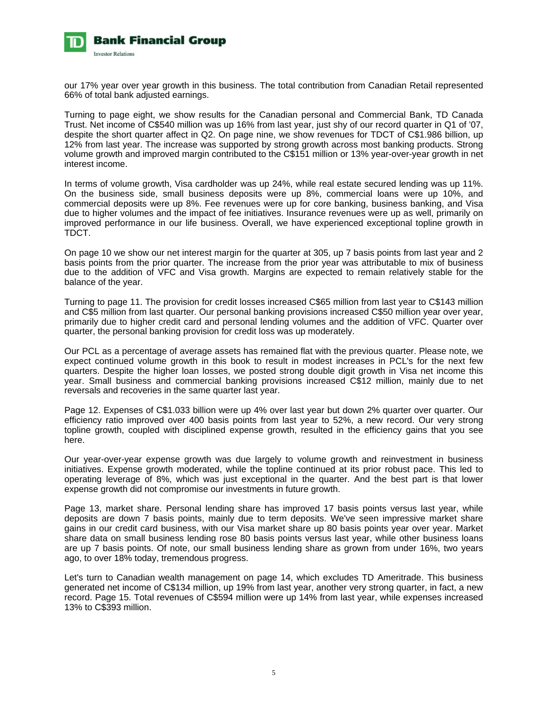

our 17% year over year growth in this business. The total contribution from Canadian Retail represented 66% of total bank adjusted earnings.

Turning to page eight, we show results for the Canadian personal and Commercial Bank, TD Canada Trust. Net income of C\$540 million was up 16% from last year, just shy of our record quarter in Q1 of '07, despite the short quarter affect in Q2. On page nine, we show revenues for TDCT of C\$1.986 billion, up 12% from last year. The increase was supported by strong growth across most banking products. Strong volume growth and improved margin contributed to the C\$151 million or 13% year-over-year growth in net interest income.

In terms of volume growth, Visa cardholder was up 24%, while real estate secured lending was up 11%. On the business side, small business deposits were up 8%, commercial loans were up 10%, and commercial deposits were up 8%. Fee revenues were up for core banking, business banking, and Visa due to higher volumes and the impact of fee initiatives. Insurance revenues were up as well, primarily on improved performance in our life business. Overall, we have experienced exceptional topline growth in TDCT.

On page 10 we show our net interest margin for the quarter at 305, up 7 basis points from last year and 2 basis points from the prior quarter. The increase from the prior year was attributable to mix of business due to the addition of VFC and Visa growth. Margins are expected to remain relatively stable for the balance of the year.

Turning to page 11. The provision for credit losses increased C\$65 million from last year to C\$143 million and C\$5 million from last quarter. Our personal banking provisions increased C\$50 million year over year, primarily due to higher credit card and personal lending volumes and the addition of VFC. Quarter over quarter, the personal banking provision for credit loss was up moderately.

Our PCL as a percentage of average assets has remained flat with the previous quarter. Please note, we expect continued volume growth in this book to result in modest increases in PCL's for the next few quarters. Despite the higher loan losses, we posted strong double digit growth in Visa net income this year. Small business and commercial banking provisions increased C\$12 million, mainly due to net reversals and recoveries in the same quarter last year.

Page 12. Expenses of C\$1.033 billion were up 4% over last year but down 2% quarter over quarter. Our efficiency ratio improved over 400 basis points from last year to 52%, a new record. Our very strong topline growth, coupled with disciplined expense growth, resulted in the efficiency gains that you see here.

Our year-over-year expense growth was due largely to volume growth and reinvestment in business initiatives. Expense growth moderated, while the topline continued at its prior robust pace. This led to operating leverage of 8%, which was just exceptional in the quarter. And the best part is that lower expense growth did not compromise our investments in future growth.

Page 13, market share. Personal lending share has improved 17 basis points versus last year, while deposits are down 7 basis points, mainly due to term deposits. We've seen impressive market share gains in our credit card business, with our Visa market share up 80 basis points year over year. Market share data on small business lending rose 80 basis points versus last year, while other business loans are up 7 basis points. Of note, our small business lending share as grown from under 16%, two years ago, to over 18% today, tremendous progress.

Let's turn to Canadian wealth management on page 14, which excludes TD Ameritrade. This business generated net income of C\$134 million, up 19% from last year, another very strong quarter, in fact, a new record. Page 15. Total revenues of C\$594 million were up 14% from last year, while expenses increased 13% to C\$393 million.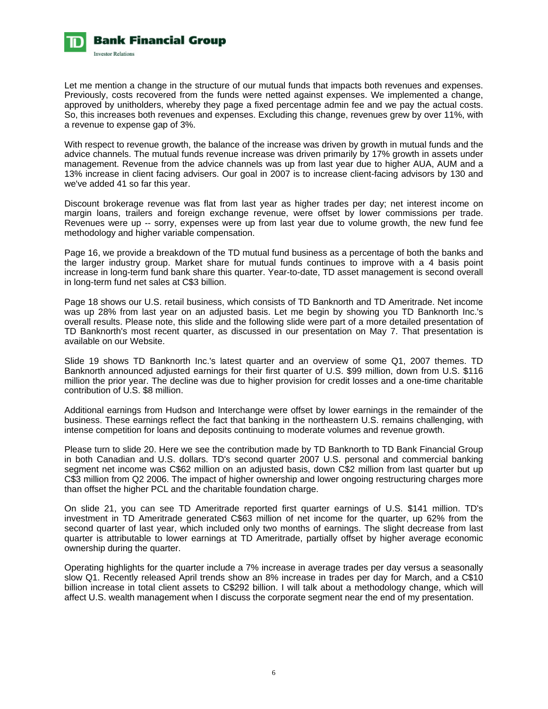

Let me mention a change in the structure of our mutual funds that impacts both revenues and expenses. Previously, costs recovered from the funds were netted against expenses. We implemented a change, approved by unitholders, whereby they page a fixed percentage admin fee and we pay the actual costs. So, this increases both revenues and expenses. Excluding this change, revenues grew by over 11%, with a revenue to expense gap of 3%.

With respect to revenue growth, the balance of the increase was driven by growth in mutual funds and the advice channels. The mutual funds revenue increase was driven primarily by 17% growth in assets under management. Revenue from the advice channels was up from last year due to higher AUA, AUM and a 13% increase in client facing advisers. Our goal in 2007 is to increase client-facing advisors by 130 and we've added 41 so far this year.

Discount brokerage revenue was flat from last year as higher trades per day; net interest income on margin loans, trailers and foreign exchange revenue, were offset by lower commissions per trade. Revenues were up -- sorry, expenses were up from last year due to volume growth, the new fund fee methodology and higher variable compensation.

Page 16, we provide a breakdown of the TD mutual fund business as a percentage of both the banks and the larger industry group. Market share for mutual funds continues to improve with a 4 basis point increase in long-term fund bank share this quarter. Year-to-date, TD asset management is second overall in long-term fund net sales at C\$3 billion.

Page 18 shows our U.S. retail business, which consists of TD Banknorth and TD Ameritrade. Net income was up 28% from last year on an adjusted basis. Let me begin by showing you TD Banknorth Inc.'s overall results. Please note, this slide and the following slide were part of a more detailed presentation of TD Banknorth's most recent quarter, as discussed in our presentation on May 7. That presentation is available on our Website.

Slide 19 shows TD Banknorth Inc.'s latest quarter and an overview of some Q1, 2007 themes. TD Banknorth announced adjusted earnings for their first quarter of U.S. \$99 million, down from U.S. \$116 million the prior year. The decline was due to higher provision for credit losses and a one-time charitable contribution of U.S. \$8 million.

Additional earnings from Hudson and Interchange were offset by lower earnings in the remainder of the business. These earnings reflect the fact that banking in the northeastern U.S. remains challenging, with intense competition for loans and deposits continuing to moderate volumes and revenue growth.

Please turn to slide 20. Here we see the contribution made by TD Banknorth to TD Bank Financial Group in both Canadian and U.S. dollars. TD's second quarter 2007 U.S. personal and commercial banking segment net income was C\$62 million on an adjusted basis, down C\$2 million from last quarter but up C\$3 million from Q2 2006. The impact of higher ownership and lower ongoing restructuring charges more than offset the higher PCL and the charitable foundation charge.

On slide 21, you can see TD Ameritrade reported first quarter earnings of U.S. \$141 million. TD's investment in TD Ameritrade generated C\$63 million of net income for the quarter, up 62% from the second quarter of last year, which included only two months of earnings. The slight decrease from last quarter is attributable to lower earnings at TD Ameritrade, partially offset by higher average economic ownership during the quarter.

Operating highlights for the quarter include a 7% increase in average trades per day versus a seasonally slow Q1. Recently released April trends show an 8% increase in trades per day for March, and a C\$10 billion increase in total client assets to C\$292 billion. I will talk about a methodology change, which will affect U.S. wealth management when I discuss the corporate segment near the end of my presentation.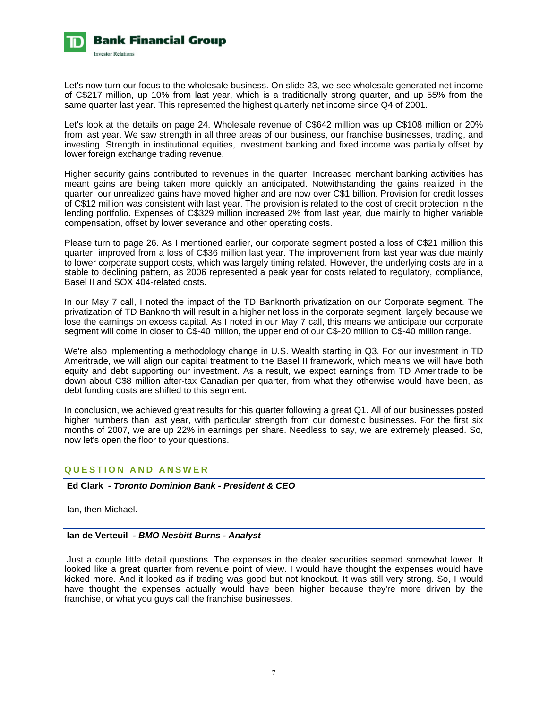

Let's now turn our focus to the wholesale business. On slide 23, we see wholesale generated net income of C\$217 million, up 10% from last year, which is a traditionally strong quarter, and up 55% from the same quarter last year. This represented the highest quarterly net income since Q4 of 2001.

Let's look at the details on page 24. Wholesale revenue of C\$642 million was up C\$108 million or 20% from last year. We saw strength in all three areas of our business, our franchise businesses, trading, and investing. Strength in institutional equities, investment banking and fixed income was partially offset by lower foreign exchange trading revenue.

Higher security gains contributed to revenues in the quarter. Increased merchant banking activities has meant gains are being taken more quickly an anticipated. Notwithstanding the gains realized in the quarter, our unrealized gains have moved higher and are now over C\$1 billion. Provision for credit losses of C\$12 million was consistent with last year. The provision is related to the cost of credit protection in the lending portfolio. Expenses of C\$329 million increased 2% from last year, due mainly to higher variable compensation, offset by lower severance and other operating costs.

Please turn to page 26. As I mentioned earlier, our corporate segment posted a loss of C\$21 million this quarter, improved from a loss of C\$36 million last year. The improvement from last year was due mainly to lower corporate support costs, which was largely timing related. However, the underlying costs are in a stable to declining pattern, as 2006 represented a peak year for costs related to regulatory, compliance, Basel II and SOX 404-related costs.

In our May 7 call, I noted the impact of the TD Banknorth privatization on our Corporate segment. The privatization of TD Banknorth will result in a higher net loss in the corporate segment, largely because we lose the earnings on excess capital. As I noted in our May 7 call, this means we anticipate our corporate segment will come in closer to C\$-40 million, the upper end of our C\$-20 million to C\$-40 million range.

We're also implementing a methodology change in U.S. Wealth starting in Q3. For our investment in TD Ameritrade, we will align our capital treatment to the Basel II framework, which means we will have both equity and debt supporting our investment. As a result, we expect earnings from TD Ameritrade to be down about C\$8 million after-tax Canadian per quarter, from what they otherwise would have been, as debt funding costs are shifted to this segment.

In conclusion, we achieved great results for this quarter following a great Q1. All of our businesses posted higher numbers than last year, with particular strength from our domestic businesses. For the first six months of 2007, we are up 22% in earnings per share. Needless to say, we are extremely pleased. So, now let's open the floor to your questions.

# **QUESTION AND ANSWER**

# **Ed Clark** *- Toronto Dominion Bank - President & CEO*

Ian, then Michael.

# **Ian de Verteuil** *- BMO Nesbitt Burns - Analyst*

 Just a couple little detail questions. The expenses in the dealer securities seemed somewhat lower. It looked like a great quarter from revenue point of view. I would have thought the expenses would have kicked more. And it looked as if trading was good but not knockout. It was still very strong. So, I would have thought the expenses actually would have been higher because they're more driven by the franchise, or what you guys call the franchise businesses.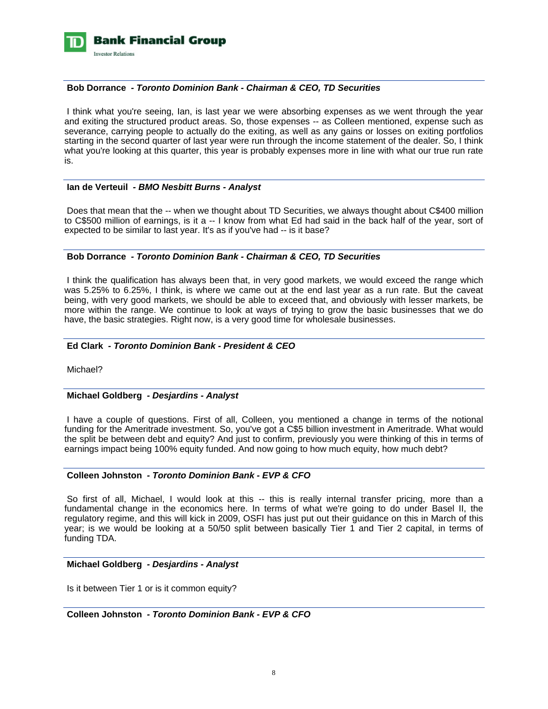

## **Bob Dorrance** *- Toronto Dominion Bank - Chairman & CEO, TD Securities*

 I think what you're seeing, Ian, is last year we were absorbing expenses as we went through the year and exiting the structured product areas. So, those expenses -- as Colleen mentioned, expense such as severance, carrying people to actually do the exiting, as well as any gains or losses on exiting portfolios starting in the second quarter of last year were run through the income statement of the dealer. So, I think what you're looking at this quarter, this year is probably expenses more in line with what our true run rate is.

### **Ian de Verteuil** *- BMO Nesbitt Burns - Analyst*

 Does that mean that the -- when we thought about TD Securities, we always thought about C\$400 million to C\$500 million of earnings, is it a -- I know from what Ed had said in the back half of the year, sort of expected to be similar to last year. It's as if you've had -- is it base?

# **Bob Dorrance** *- Toronto Dominion Bank - Chairman & CEO, TD Securities*

 I think the qualification has always been that, in very good markets, we would exceed the range which was 5.25% to 6.25%, I think, is where we came out at the end last year as a run rate. But the caveat being, with very good markets, we should be able to exceed that, and obviously with lesser markets, be more within the range. We continue to look at ways of trying to grow the basic businesses that we do have, the basic strategies. Right now, is a very good time for wholesale businesses.

# **Ed Clark** *- Toronto Dominion Bank - President & CEO*

Michael?

#### **Michael Goldberg** *- Desjardins - Analyst*

 I have a couple of questions. First of all, Colleen, you mentioned a change in terms of the notional funding for the Ameritrade investment. So, you've got a C\$5 billion investment in Ameritrade. What would the split be between debt and equity? And just to confirm, previously you were thinking of this in terms of earnings impact being 100% equity funded. And now going to how much equity, how much debt?

# **Colleen Johnston** *- Toronto Dominion Bank - EVP & CFO*

So first of all, Michael, I would look at this -- this is really internal transfer pricing, more than a fundamental change in the economics here. In terms of what we're going to do under Basel II, the regulatory regime, and this will kick in 2009, OSFI has just put out their guidance on this in March of this year; is we would be looking at a 50/50 split between basically Tier 1 and Tier 2 capital, in terms of funding TDA.

#### **Michael Goldberg** *- Desjardins - Analyst*

Is it between Tier 1 or is it common equity?

 **Colleen Johnston** *- Toronto Dominion Bank - EVP & CFO*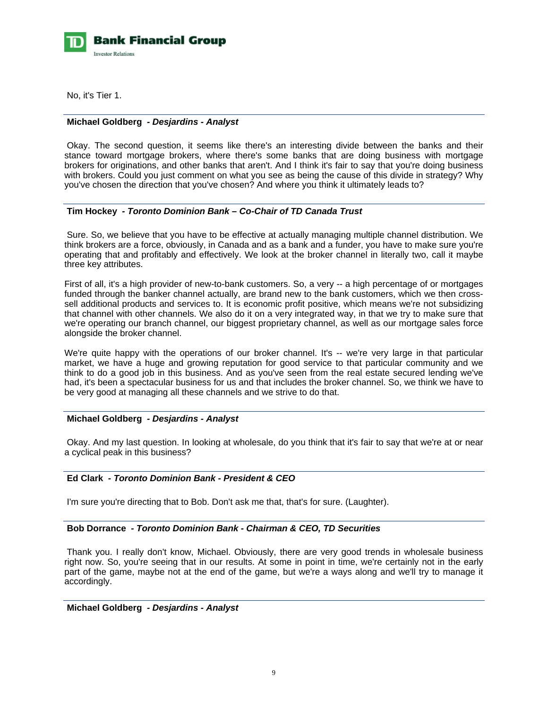

No, it's Tier 1.

# **Michael Goldberg** *- Desjardins - Analyst*

 Okay. The second question, it seems like there's an interesting divide between the banks and their stance toward mortgage brokers, where there's some banks that are doing business with mortgage brokers for originations, and other banks that aren't. And I think it's fair to say that you're doing business with brokers. Could you just comment on what you see as being the cause of this divide in strategy? Why you've chosen the direction that you've chosen? And where you think it ultimately leads to?

# **Tim Hockey** *- Toronto Dominion Bank – Co-Chair of TD Canada Trust*

 Sure. So, we believe that you have to be effective at actually managing multiple channel distribution. We think brokers are a force, obviously, in Canada and as a bank and a funder, you have to make sure you're operating that and profitably and effectively. We look at the broker channel in literally two, call it maybe three key attributes.

First of all, it's a high provider of new-to-bank customers. So, a very -- a high percentage of or mortgages funded through the banker channel actually, are brand new to the bank customers, which we then crosssell additional products and services to. It is economic profit positive, which means we're not subsidizing that channel with other channels. We also do it on a very integrated way, in that we try to make sure that we're operating our branch channel, our biggest proprietary channel, as well as our mortgage sales force alongside the broker channel.

We're quite happy with the operations of our broker channel. It's -- we're very large in that particular market, we have a huge and growing reputation for good service to that particular community and we think to do a good job in this business. And as you've seen from the real estate secured lending we've had, it's been a spectacular business for us and that includes the broker channel. So, we think we have to be very good at managing all these channels and we strive to do that.

#### **Michael Goldberg** *- Desjardins - Analyst*

 Okay. And my last question. In looking at wholesale, do you think that it's fair to say that we're at or near a cyclical peak in this business?

# **Ed Clark** *- Toronto Dominion Bank - President & CEO*

I'm sure you're directing that to Bob. Don't ask me that, that's for sure. (Laughter).

# **Bob Dorrance** *- Toronto Dominion Bank - Chairman & CEO, TD Securities*

 Thank you. I really don't know, Michael. Obviously, there are very good trends in wholesale business right now. So, you're seeing that in our results. At some in point in time, we're certainly not in the early part of the game, maybe not at the end of the game, but we're a ways along and we'll try to manage it accordingly.

# **Michael Goldberg** *- Desjardins - Analyst*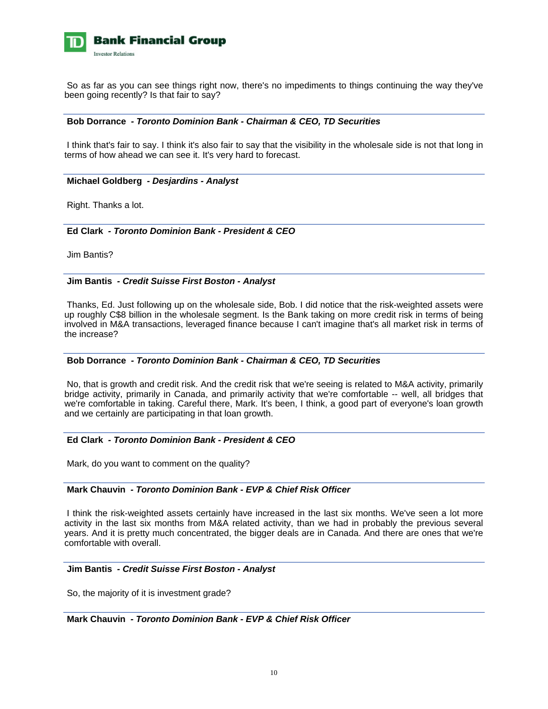

 So as far as you can see things right now, there's no impediments to things continuing the way they've been going recently? Is that fair to say?

### **Bob Dorrance** *- Toronto Dominion Bank - Chairman & CEO, TD Securities*

 I think that's fair to say. I think it's also fair to say that the visibility in the wholesale side is not that long in terms of how ahead we can see it. It's very hard to forecast.

### **Michael Goldberg** *- Desjardins - Analyst*

Right. Thanks a lot.

# **Ed Clark** *- Toronto Dominion Bank - President & CEO*

Jim Bantis?

### **Jim Bantis** *- Credit Suisse First Boston - Analyst*

 Thanks, Ed. Just following up on the wholesale side, Bob. I did notice that the risk-weighted assets were up roughly C\$8 billion in the wholesale segment. Is the Bank taking on more credit risk in terms of being involved in M&A transactions, leveraged finance because I can't imagine that's all market risk in terms of the increase?

# **Bob Dorrance** *- Toronto Dominion Bank - Chairman & CEO, TD Securities*

 No, that is growth and credit risk. And the credit risk that we're seeing is related to M&A activity, primarily bridge activity, primarily in Canada, and primarily activity that we're comfortable -- well, all bridges that we're comfortable in taking. Careful there, Mark. It's been, I think, a good part of everyone's loan growth and we certainly are participating in that loan growth.

# **Ed Clark** *- Toronto Dominion Bank - President & CEO*

Mark, do you want to comment on the quality?

#### **Mark Chauvin** *- Toronto Dominion Bank - EVP & Chief Risk Officer*

 I think the risk-weighted assets certainly have increased in the last six months. We've seen a lot more activity in the last six months from M&A related activity, than we had in probably the previous several years. And it is pretty much concentrated, the bigger deals are in Canada. And there are ones that we're comfortable with overall.

#### **Jim Bantis** *- Credit Suisse First Boston - Analyst*

So, the majority of it is investment grade?

 **Mark Chauvin** *- Toronto Dominion Bank - EVP & Chief Risk Officer*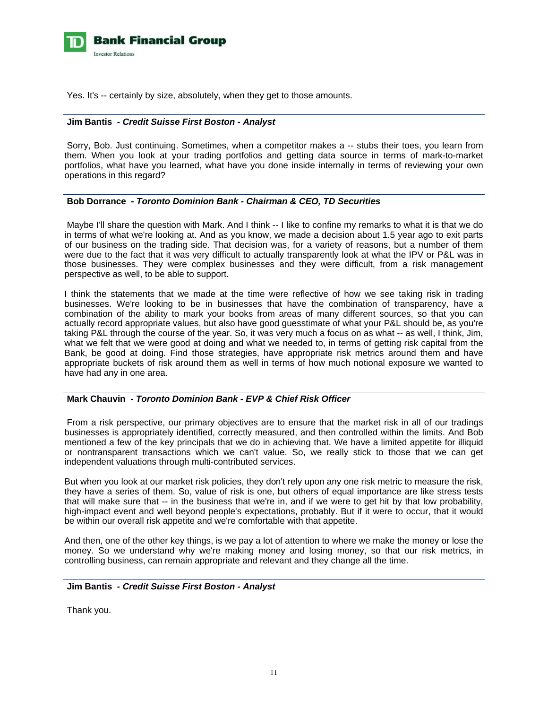

Yes. It's -- certainly by size, absolutely, when they get to those amounts.

#### **Jim Bantis** *- Credit Suisse First Boston - Analyst*

 Sorry, Bob. Just continuing. Sometimes, when a competitor makes a -- stubs their toes, you learn from them. When you look at your trading portfolios and getting data source in terms of mark-to-market portfolios, what have you learned, what have you done inside internally in terms of reviewing your own operations in this regard?

#### **Bob Dorrance** *- Toronto Dominion Bank - Chairman & CEO, TD Securities*

 Maybe I'll share the question with Mark. And I think -- I like to confine my remarks to what it is that we do in terms of what we're looking at. And as you know, we made a decision about 1.5 year ago to exit parts of our business on the trading side. That decision was, for a variety of reasons, but a number of them were due to the fact that it was very difficult to actually transparently look at what the IPV or P&L was in those businesses. They were complex businesses and they were difficult, from a risk management perspective as well, to be able to support.

I think the statements that we made at the time were reflective of how we see taking risk in trading businesses. We're looking to be in businesses that have the combination of transparency, have a combination of the ability to mark your books from areas of many different sources, so that you can actually record appropriate values, but also have good guesstimate of what your P&L should be, as you're taking P&L through the course of the year. So, it was very much a focus on as what -- as well, I think, Jim, what we felt that we were good at doing and what we needed to, in terms of getting risk capital from the Bank, be good at doing. Find those strategies, have appropriate risk metrics around them and have appropriate buckets of risk around them as well in terms of how much notional exposure we wanted to have had any in one area.

# **Mark Chauvin** *- Toronto Dominion Bank - EVP & Chief Risk Officer*

 From a risk perspective, our primary objectives are to ensure that the market risk in all of our tradings businesses is appropriately identified, correctly measured, and then controlled within the limits. And Bob mentioned a few of the key principals that we do in achieving that. We have a limited appetite for illiquid or nontransparent transactions which we can't value. So, we really stick to those that we can get independent valuations through multi-contributed services.

But when you look at our market risk policies, they don't rely upon any one risk metric to measure the risk, they have a series of them. So, value of risk is one, but others of equal importance are like stress tests that will make sure that -- in the business that we're in, and if we were to get hit by that low probability, high-impact event and well beyond people's expectations, probably. But if it were to occur, that it would be within our overall risk appetite and we're comfortable with that appetite.

And then, one of the other key things, is we pay a lot of attention to where we make the money or lose the money. So we understand why we're making money and losing money, so that our risk metrics, in controlling business, can remain appropriate and relevant and they change all the time.

#### **Jim Bantis** *- Credit Suisse First Boston - Analyst*

Thank you.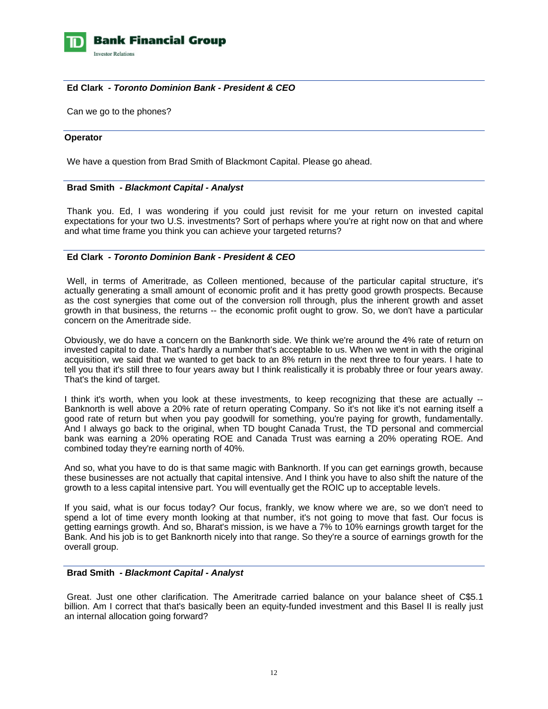

# **Ed Clark** *- Toronto Dominion Bank - President & CEO*

Can we go to the phones?

#### **Operator**

We have a question from Brad Smith of Blackmont Capital. Please go ahead.

# **Brad Smith** *- Blackmont Capital - Analyst*

 Thank you. Ed, I was wondering if you could just revisit for me your return on invested capital expectations for your two U.S. investments? Sort of perhaps where you're at right now on that and where and what time frame you think you can achieve your targeted returns?

# **Ed Clark** *- Toronto Dominion Bank - President & CEO*

 Well, in terms of Ameritrade, as Colleen mentioned, because of the particular capital structure, it's actually generating a small amount of economic profit and it has pretty good growth prospects. Because as the cost synergies that come out of the conversion roll through, plus the inherent growth and asset growth in that business, the returns -- the economic profit ought to grow. So, we don't have a particular concern on the Ameritrade side.

Obviously, we do have a concern on the Banknorth side. We think we're around the 4% rate of return on invested capital to date. That's hardly a number that's acceptable to us. When we went in with the original acquisition, we said that we wanted to get back to an 8% return in the next three to four years. I hate to tell you that it's still three to four years away but I think realistically it is probably three or four years away. That's the kind of target.

I think it's worth, when you look at these investments, to keep recognizing that these are actually -- Banknorth is well above a 20% rate of return operating Company. So it's not like it's not earning itself a good rate of return but when you pay goodwill for something, you're paying for growth, fundamentally. And I always go back to the original, when TD bought Canada Trust, the TD personal and commercial bank was earning a 20% operating ROE and Canada Trust was earning a 20% operating ROE. And combined today they're earning north of 40%.

And so, what you have to do is that same magic with Banknorth. If you can get earnings growth, because these businesses are not actually that capital intensive. And I think you have to also shift the nature of the growth to a less capital intensive part. You will eventually get the ROIC up to acceptable levels.

If you said, what is our focus today? Our focus, frankly, we know where we are, so we don't need to spend a lot of time every month looking at that number, it's not going to move that fast. Our focus is getting earnings growth. And so, Bharat's mission, is we have a 7% to 10% earnings growth target for the Bank. And his job is to get Banknorth nicely into that range. So they're a source of earnings growth for the overall group.

#### **Brad Smith** *- Blackmont Capital - Analyst*

 Great. Just one other clarification. The Ameritrade carried balance on your balance sheet of C\$5.1 billion. Am I correct that that's basically been an equity-funded investment and this Basel II is really just an internal allocation going forward?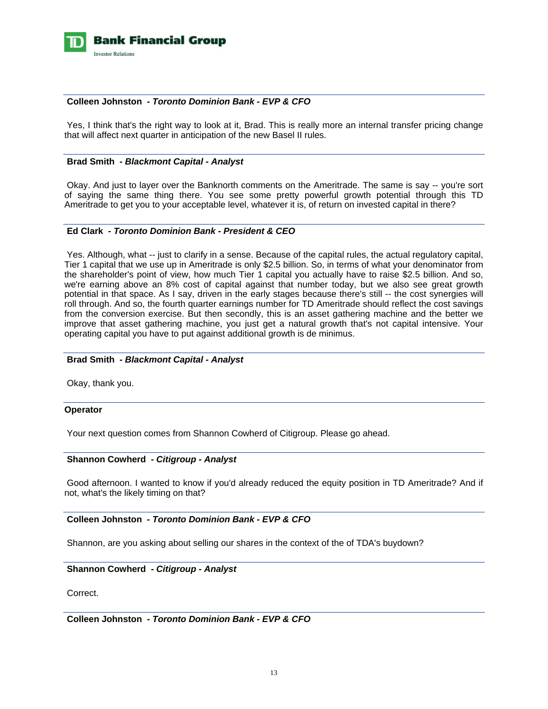

# **Colleen Johnston** *- Toronto Dominion Bank - EVP & CFO*

Yes. I think that's the right way to look at it, Brad. This is really more an internal transfer pricing change that will affect next quarter in anticipation of the new Basel II rules.

#### **Brad Smith** *- Blackmont Capital - Analyst*

 Okay. And just to layer over the Banknorth comments on the Ameritrade. The same is say -- you're sort of saying the same thing there. You see some pretty powerful growth potential through this TD Ameritrade to get you to your acceptable level, whatever it is, of return on invested capital in there?

# **Ed Clark** *- Toronto Dominion Bank - President & CEO*

 Yes. Although, what -- just to clarify in a sense. Because of the capital rules, the actual regulatory capital, Tier 1 capital that we use up in Ameritrade is only \$2.5 billion. So, in terms of what your denominator from the shareholder's point of view, how much Tier 1 capital you actually have to raise \$2.5 billion. And so, we're earning above an 8% cost of capital against that number today, but we also see great growth potential in that space. As I say, driven in the early stages because there's still -- the cost synergies will roll through. And so, the fourth quarter earnings number for TD Ameritrade should reflect the cost savings from the conversion exercise. But then secondly, this is an asset gathering machine and the better we improve that asset gathering machine, you just get a natural growth that's not capital intensive. Your operating capital you have to put against additional growth is de minimus.

#### **Brad Smith** *- Blackmont Capital - Analyst*

Okay, thank you.

#### **Operator**

Your next question comes from Shannon Cowherd of Citigroup. Please go ahead.

#### **Shannon Cowherd** *- Citigroup - Analyst*

 Good afternoon. I wanted to know if you'd already reduced the equity position in TD Ameritrade? And if not, what's the likely timing on that?

# **Colleen Johnston** *- Toronto Dominion Bank - EVP & CFO*

Shannon, are you asking about selling our shares in the context of the of TDA's buydown?

 **Shannon Cowherd** *- Citigroup - Analyst* 

Correct.

 **Colleen Johnston** *- Toronto Dominion Bank - EVP & CFO*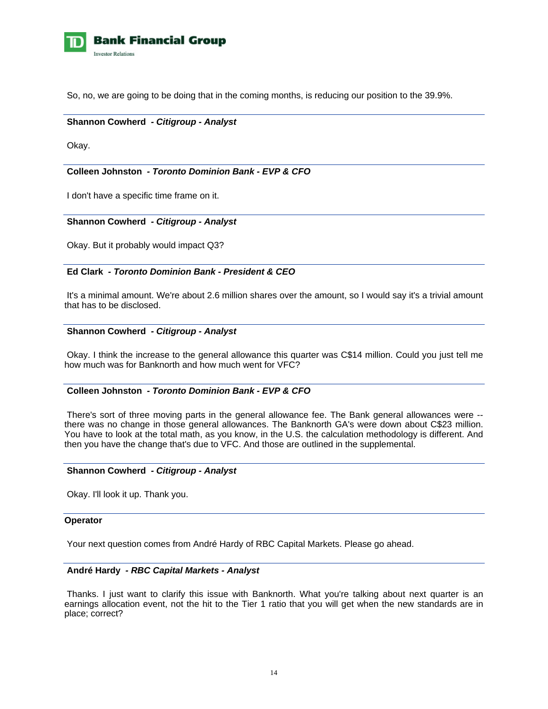

So, no, we are going to be doing that in the coming months, is reducing our position to the 39.9%.

#### **Shannon Cowherd** *- Citigroup - Analyst*

Okay.

# **Colleen Johnston** *- Toronto Dominion Bank - EVP & CFO*

I don't have a specific time frame on it.

#### **Shannon Cowherd** *- Citigroup - Analyst*

Okay. But it probably would impact Q3?

# **Ed Clark** *- Toronto Dominion Bank - President & CEO*

 It's a minimal amount. We're about 2.6 million shares over the amount, so I would say it's a trivial amount that has to be disclosed.

#### **Shannon Cowherd** *- Citigroup - Analyst*

 Okay. I think the increase to the general allowance this quarter was C\$14 million. Could you just tell me how much was for Banknorth and how much went for VFC?

# **Colleen Johnston** *- Toronto Dominion Bank - EVP & CFO*

 There's sort of three moving parts in the general allowance fee. The Bank general allowances were - there was no change in those general allowances. The Banknorth GA's were down about C\$23 million. You have to look at the total math, as you know, in the U.S. the calculation methodology is different. And then you have the change that's due to VFC. And those are outlined in the supplemental.

### **Shannon Cowherd** *- Citigroup - Analyst*

Okay. I'll look it up. Thank you.

#### **Operator**

Your next question comes from André Hardy of RBC Capital Markets. Please go ahead.

### **André Hardy** *- RBC Capital Markets - Analyst*

 Thanks. I just want to clarify this issue with Banknorth. What you're talking about next quarter is an earnings allocation event, not the hit to the Tier 1 ratio that you will get when the new standards are in place; correct?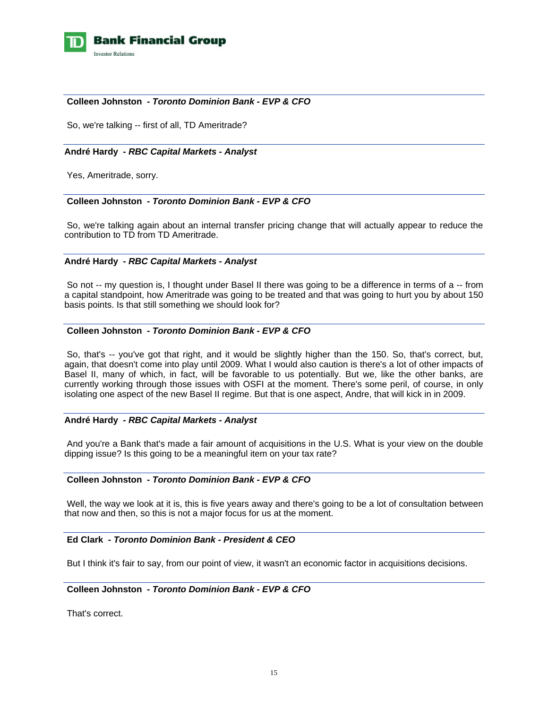

# **Colleen Johnston** *- Toronto Dominion Bank - EVP & CFO*

So, we're talking -- first of all, TD Ameritrade?

#### **André Hardy** *- RBC Capital Markets - Analyst*

Yes, Ameritrade, sorry.

# **Colleen Johnston** *- Toronto Dominion Bank - EVP & CFO*

 So, we're talking again about an internal transfer pricing change that will actually appear to reduce the contribution to TD from TD Ameritrade.

# **André Hardy** *- RBC Capital Markets - Analyst*

So not -- my question is, I thought under Basel II there was going to be a difference in terms of a -- from a capital standpoint, how Ameritrade was going to be treated and that was going to hurt you by about 150 basis points. Is that still something we should look for?

# **Colleen Johnston** *- Toronto Dominion Bank - EVP & CFO*

 So, that's -- you've got that right, and it would be slightly higher than the 150. So, that's correct, but, again, that doesn't come into play until 2009. What I would also caution is there's a lot of other impacts of Basel II, many of which, in fact, will be favorable to us potentially. But we, like the other banks, are currently working through those issues with OSFI at the moment. There's some peril, of course, in only isolating one aspect of the new Basel II regime. But that is one aspect, Andre, that will kick in in 2009.

# **André Hardy** *- RBC Capital Markets - Analyst*

 And you're a Bank that's made a fair amount of acquisitions in the U.S. What is your view on the double dipping issue? Is this going to be a meaningful item on your tax rate?

#### **Colleen Johnston** *- Toronto Dominion Bank - EVP & CFO*

 Well, the way we look at it is, this is five years away and there's going to be a lot of consultation between that now and then, so this is not a major focus for us at the moment.

# **Ed Clark** *- Toronto Dominion Bank - President & CEO*

But I think it's fair to say, from our point of view, it wasn't an economic factor in acquisitions decisions.

### **Colleen Johnston** *- Toronto Dominion Bank - EVP & CFO*

That's correct.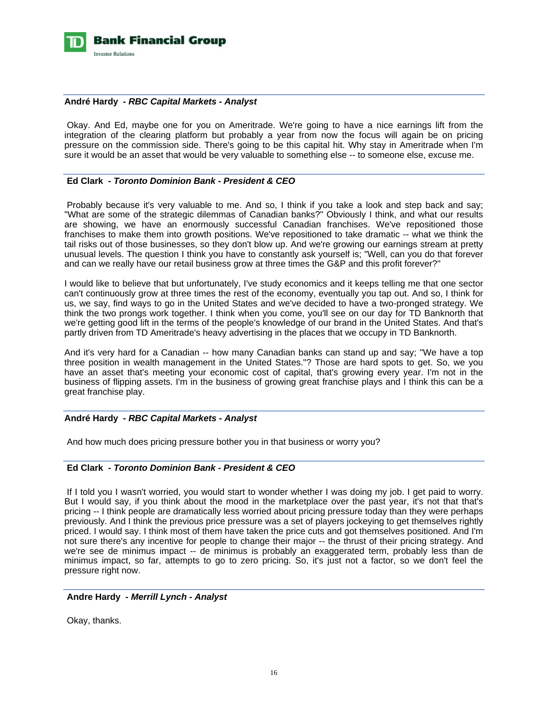

#### **André Hardy** *- RBC Capital Markets - Analyst*

 Okay. And Ed, maybe one for you on Ameritrade. We're going to have a nice earnings lift from the integration of the clearing platform but probably a year from now the focus will again be on pricing pressure on the commission side. There's going to be this capital hit. Why stay in Ameritrade when I'm sure it would be an asset that would be very valuable to something else -- to someone else, excuse me.

### **Ed Clark** *- Toronto Dominion Bank - President & CEO*

 Probably because it's very valuable to me. And so, I think if you take a look and step back and say; "What are some of the strategic dilemmas of Canadian banks?" Obviously I think, and what our results are showing, we have an enormously successful Canadian franchises. We've repositioned those franchises to make them into growth positions. We've repositioned to take dramatic -- what we think the tail risks out of those businesses, so they don't blow up. And we're growing our earnings stream at pretty unusual levels. The question I think you have to constantly ask yourself is; "Well, can you do that forever and can we really have our retail business grow at three times the G&P and this profit forever?"

I would like to believe that but unfortunately, I've study economics and it keeps telling me that one sector can't continuously grow at three times the rest of the economy, eventually you tap out. And so, I think for us, we say, find ways to go in the United States and we've decided to have a two-pronged strategy. We think the two prongs work together. I think when you come, you'll see on our day for TD Banknorth that we're getting good lift in the terms of the people's knowledge of our brand in the United States. And that's partly driven from TD Ameritrade's heavy advertising in the places that we occupy in TD Banknorth.

And it's very hard for a Canadian -- how many Canadian banks can stand up and say; "We have a top three position in wealth management in the United States."? Those are hard spots to get. So, we you have an asset that's meeting your economic cost of capital, that's growing every year. I'm not in the business of flipping assets. I'm in the business of growing great franchise plays and I think this can be a great franchise play.

# **André Hardy** *- RBC Capital Markets - Analyst*

And how much does pricing pressure bother you in that business or worry you?

#### **Ed Clark** *- Toronto Dominion Bank - President & CEO*

 If I told you I wasn't worried, you would start to wonder whether I was doing my job. I get paid to worry. But I would say, if you think about the mood in the marketplace over the past year, it's not that that's pricing -- I think people are dramatically less worried about pricing pressure today than they were perhaps previously. And I think the previous price pressure was a set of players jockeying to get themselves rightly priced. I would say. I think most of them have taken the price cuts and got themselves positioned. And I'm not sure there's any incentive for people to change their major -- the thrust of their pricing strategy. And we're see de minimus impact -- de minimus is probably an exaggerated term, probably less than de minimus impact, so far, attempts to go to zero pricing. So, it's just not a factor, so we don't feel the pressure right now.

# **Andre Hardy** *- Merrill Lynch - Analyst*

Okay, thanks.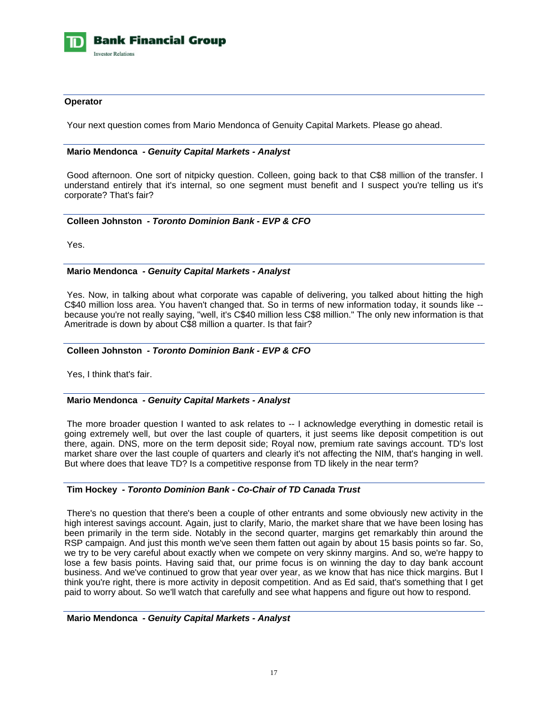

### **Operator**

Your next question comes from Mario Mendonca of Genuity Capital Markets. Please go ahead.

#### **Mario Mendonca** *- Genuity Capital Markets - Analyst*

 Good afternoon. One sort of nitpicky question. Colleen, going back to that C\$8 million of the transfer. I understand entirely that it's internal, so one segment must benefit and I suspect you're telling us it's corporate? That's fair?

# **Colleen Johnston** *- Toronto Dominion Bank - EVP & CFO*

Yes.

### **Mario Mendonca** *- Genuity Capital Markets - Analyst*

 Yes. Now, in talking about what corporate was capable of delivering, you talked about hitting the high C\$40 million loss area. You haven't changed that. So in terms of new information today, it sounds like - because you're not really saying, "well, it's C\$40 million less C\$8 million." The only new information is that Ameritrade is down by about C\$8 million a quarter. Is that fair?

#### **Colleen Johnston** *- Toronto Dominion Bank - EVP & CFO*

Yes, I think that's fair.

#### **Mario Mendonca** *- Genuity Capital Markets - Analyst*

 The more broader question I wanted to ask relates to -- I acknowledge everything in domestic retail is going extremely well, but over the last couple of quarters, it just seems like deposit competition is out there, again. DNS, more on the term deposit side; Royal now, premium rate savings account. TD's lost market share over the last couple of quarters and clearly it's not affecting the NIM, that's hanging in well. But where does that leave TD? Is a competitive response from TD likely in the near term?

# **Tim Hockey** *- Toronto Dominion Bank - Co-Chair of TD Canada Trust*

 There's no question that there's been a couple of other entrants and some obviously new activity in the high interest savings account. Again, just to clarify, Mario, the market share that we have been losing has been primarily in the term side. Notably in the second quarter, margins get remarkably thin around the RSP campaign. And just this month we've seen them fatten out again by about 15 basis points so far. So, we try to be very careful about exactly when we compete on very skinny margins. And so, we're happy to lose a few basis points. Having said that, our prime focus is on winning the day to day bank account business. And we've continued to grow that year over year, as we know that has nice thick margins. But I think you're right, there is more activity in deposit competition. And as Ed said, that's something that I get paid to worry about. So we'll watch that carefully and see what happens and figure out how to respond.

 **Mario Mendonca** *- Genuity Capital Markets - Analyst*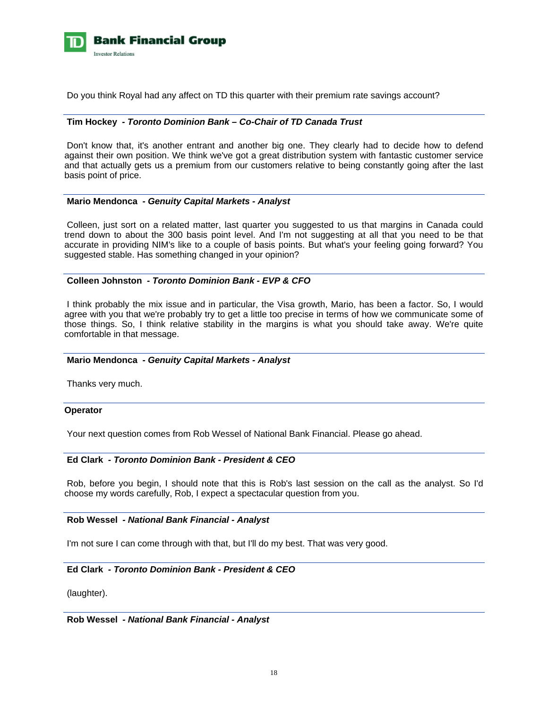

Do you think Royal had any affect on TD this quarter with their premium rate savings account?

#### **Tim Hockey** *- Toronto Dominion Bank – Co-Chair of TD Canada Trust*

 Don't know that, it's another entrant and another big one. They clearly had to decide how to defend against their own position. We think we've got a great distribution system with fantastic customer service and that actually gets us a premium from our customers relative to being constantly going after the last basis point of price.

#### **Mario Mendonca** *- Genuity Capital Markets - Analyst*

 Colleen, just sort on a related matter, last quarter you suggested to us that margins in Canada could trend down to about the 300 basis point level. And I'm not suggesting at all that you need to be that accurate in providing NIM's like to a couple of basis points. But what's your feeling going forward? You suggested stable. Has something changed in your opinion?

### **Colleen Johnston** *- Toronto Dominion Bank - EVP & CFO*

 I think probably the mix issue and in particular, the Visa growth, Mario, has been a factor. So, I would agree with you that we're probably try to get a little too precise in terms of how we communicate some of those things. So, I think relative stability in the margins is what you should take away. We're quite comfortable in that message.

#### **Mario Mendonca** *- Genuity Capital Markets - Analyst*

Thanks very much.

#### **Operator**

Your next question comes from Rob Wessel of National Bank Financial. Please go ahead.

#### **Ed Clark** *- Toronto Dominion Bank - President & CEO*

 Rob, before you begin, I should note that this is Rob's last session on the call as the analyst. So I'd choose my words carefully, Rob, I expect a spectacular question from you.

#### **Rob Wessel** *- National Bank Financial - Analyst*

I'm not sure I can come through with that, but I'll do my best. That was very good.

#### **Ed Clark** *- Toronto Dominion Bank - President & CEO*

(laughter).

 **Rob Wessel** *- National Bank Financial - Analyst*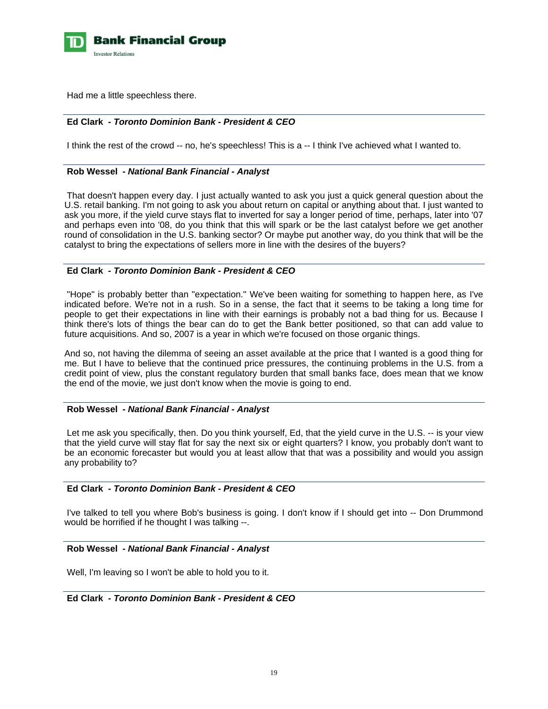

Had me a little speechless there.

# **Ed Clark** *- Toronto Dominion Bank - President & CEO*

I think the rest of the crowd -- no, he's speechless! This is a -- I think I've achieved what I wanted to.

#### **Rob Wessel** *- National Bank Financial - Analyst*

 That doesn't happen every day. I just actually wanted to ask you just a quick general question about the U.S. retail banking. I'm not going to ask you about return on capital or anything about that. I just wanted to ask you more, if the yield curve stays flat to inverted for say a longer period of time, perhaps, later into '07 and perhaps even into '08, do you think that this will spark or be the last catalyst before we get another round of consolidation in the U.S. banking sector? Or maybe put another way, do you think that will be the catalyst to bring the expectations of sellers more in line with the desires of the buyers?

# **Ed Clark** *- Toronto Dominion Bank - President & CEO*

 "Hope" is probably better than "expectation." We've been waiting for something to happen here, as I've indicated before. We're not in a rush. So in a sense, the fact that it seems to be taking a long time for people to get their expectations in line with their earnings is probably not a bad thing for us. Because I think there's lots of things the bear can do to get the Bank better positioned, so that can add value to future acquisitions. And so, 2007 is a year in which we're focused on those organic things.

And so, not having the dilemma of seeing an asset available at the price that I wanted is a good thing for me. But I have to believe that the continued price pressures, the continuing problems in the U.S. from a credit point of view, plus the constant regulatory burden that small banks face, does mean that we know the end of the movie, we just don't know when the movie is going to end.

# **Rob Wessel** *- National Bank Financial - Analyst*

 Let me ask you specifically, then. Do you think yourself, Ed, that the yield curve in the U.S. -- is your view that the yield curve will stay flat for say the next six or eight quarters? I know, you probably don't want to be an economic forecaster but would you at least allow that that was a possibility and would you assign any probability to?

# **Ed Clark** *- Toronto Dominion Bank - President & CEO*

 I've talked to tell you where Bob's business is going. I don't know if I should get into -- Don Drummond would be horrified if he thought I was talking --.

# **Rob Wessel** *- National Bank Financial - Analyst*

Well, I'm leaving so I won't be able to hold you to it.

# **Ed Clark** *- Toronto Dominion Bank - President & CEO*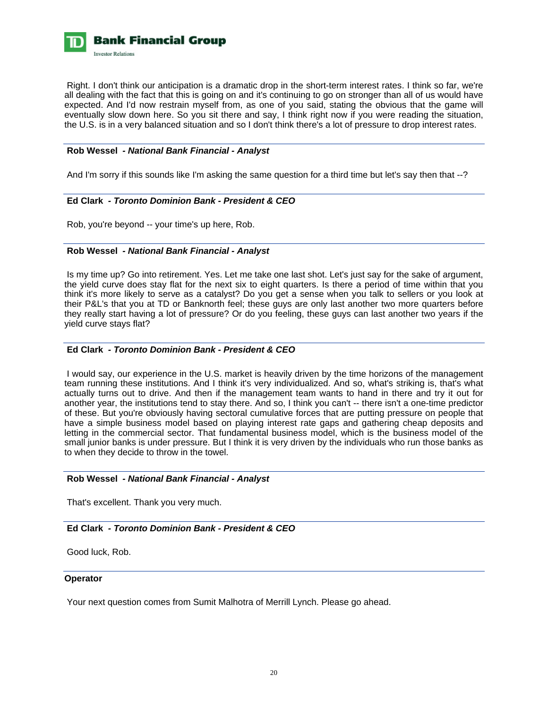

 Right. I don't think our anticipation is a dramatic drop in the short-term interest rates. I think so far, we're all dealing with the fact that this is going on and it's continuing to go on stronger than all of us would have expected. And I'd now restrain myself from, as one of you said, stating the obvious that the game will eventually slow down here. So you sit there and say, I think right now if you were reading the situation, the U.S. is in a very balanced situation and so I don't think there's a lot of pressure to drop interest rates.

# **Rob Wessel** *- National Bank Financial - Analyst*

And I'm sorry if this sounds like I'm asking the same question for a third time but let's say then that --?

### **Ed Clark** *- Toronto Dominion Bank - President & CEO*

Rob, you're beyond -- your time's up here, Rob.

### **Rob Wessel** *- National Bank Financial - Analyst*

 Is my time up? Go into retirement. Yes. Let me take one last shot. Let's just say for the sake of argument, the yield curve does stay flat for the next six to eight quarters. Is there a period of time within that you think it's more likely to serve as a catalyst? Do you get a sense when you talk to sellers or you look at their P&L's that you at TD or Banknorth feel; these guys are only last another two more quarters before they really start having a lot of pressure? Or do you feeling, these guys can last another two years if the yield curve stays flat?

# **Ed Clark** *- Toronto Dominion Bank - President & CEO*

 I would say, our experience in the U.S. market is heavily driven by the time horizons of the management team running these institutions. And I think it's very individualized. And so, what's striking is, that's what actually turns out to drive. And then if the management team wants to hand in there and try it out for another year, the institutions tend to stay there. And so, I think you can't -- there isn't a one-time predictor of these. But you're obviously having sectoral cumulative forces that are putting pressure on people that have a simple business model based on playing interest rate gaps and gathering cheap deposits and letting in the commercial sector. That fundamental business model, which is the business model of the small junior banks is under pressure. But I think it is very driven by the individuals who run those banks as to when they decide to throw in the towel.

#### **Rob Wessel** *- National Bank Financial - Analyst*

That's excellent. Thank you very much.

# **Ed Clark** *- Toronto Dominion Bank - President & CEO*

Good luck, Rob.

#### **Operator**

Your next question comes from Sumit Malhotra of Merrill Lynch. Please go ahead.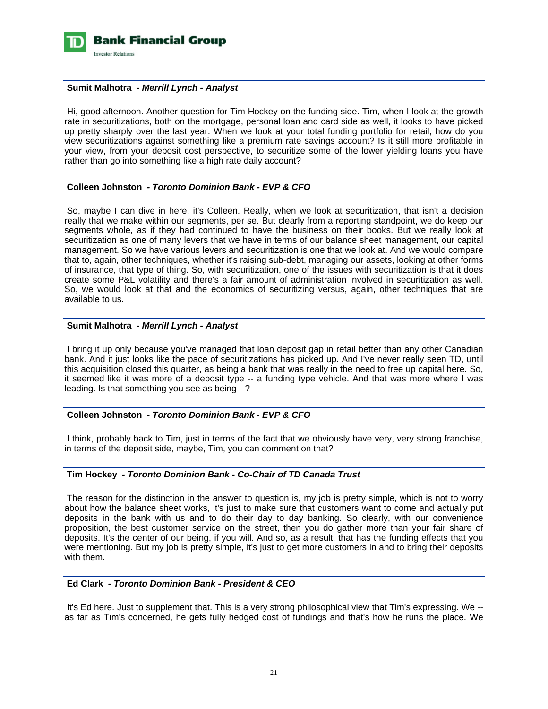

#### **Sumit Malhotra** *- Merrill Lynch - Analyst*

 Hi, good afternoon. Another question for Tim Hockey on the funding side. Tim, when I look at the growth rate in securitizations, both on the mortgage, personal loan and card side as well, it looks to have picked up pretty sharply over the last year. When we look at your total funding portfolio for retail, how do you view securitizations against something like a premium rate savings account? Is it still more profitable in your view, from your deposit cost perspective, to securitize some of the lower yielding loans you have rather than go into something like a high rate daily account?

# **Colleen Johnston** *- Toronto Dominion Bank - EVP & CFO*

 So, maybe I can dive in here, it's Colleen. Really, when we look at securitization, that isn't a decision really that we make within our segments, per se. But clearly from a reporting standpoint, we do keep our segments whole, as if they had continued to have the business on their books. But we really look at securitization as one of many levers that we have in terms of our balance sheet management, our capital management. So we have various levers and securitization is one that we look at. And we would compare that to, again, other techniques, whether it's raising sub-debt, managing our assets, looking at other forms of insurance, that type of thing. So, with securitization, one of the issues with securitization is that it does create some P&L volatility and there's a fair amount of administration involved in securitization as well. So, we would look at that and the economics of securitizing versus, again, other techniques that are available to us.

# **Sumit Malhotra** *- Merrill Lynch - Analyst*

 I bring it up only because you've managed that loan deposit gap in retail better than any other Canadian bank. And it just looks like the pace of securitizations has picked up. And I've never really seen TD, until this acquisition closed this quarter, as being a bank that was really in the need to free up capital here. So, it seemed like it was more of a deposit type -- a funding type vehicle. And that was more where I was leading. Is that something you see as being --?

# **Colleen Johnston** *- Toronto Dominion Bank - EVP & CFO*

 I think, probably back to Tim, just in terms of the fact that we obviously have very, very strong franchise, in terms of the deposit side, maybe, Tim, you can comment on that?

# **Tim Hockey** *- Toronto Dominion Bank - Co-Chair of TD Canada Trust*

 The reason for the distinction in the answer to question is, my job is pretty simple, which is not to worry about how the balance sheet works, it's just to make sure that customers want to come and actually put deposits in the bank with us and to do their day to day banking. So clearly, with our convenience proposition, the best customer service on the street, then you do gather more than your fair share of deposits. It's the center of our being, if you will. And so, as a result, that has the funding effects that you were mentioning. But my job is pretty simple, it's just to get more customers in and to bring their deposits with them.

#### **Ed Clark** *- Toronto Dominion Bank - President & CEO*

 It's Ed here. Just to supplement that. This is a very strong philosophical view that Tim's expressing. We - as far as Tim's concerned, he gets fully hedged cost of fundings and that's how he runs the place. We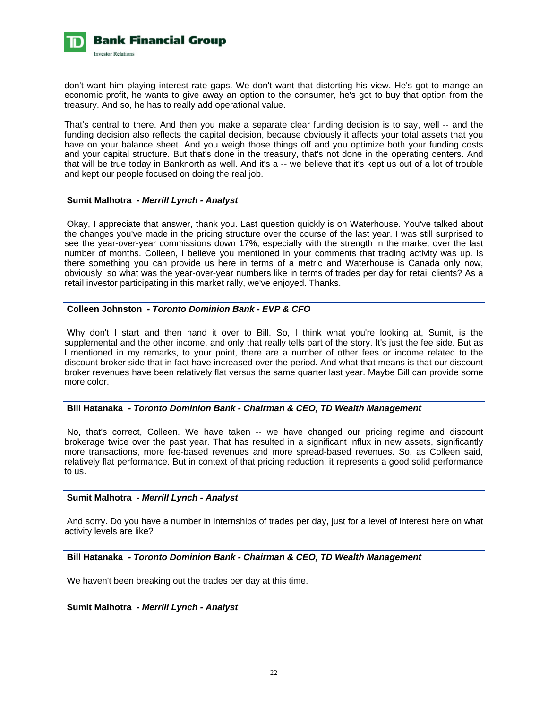

don't want him playing interest rate gaps. We don't want that distorting his view. He's got to mange an economic profit, he wants to give away an option to the consumer, he's got to buy that option from the treasury. And so, he has to really add operational value.

That's central to there. And then you make a separate clear funding decision is to say, well -- and the funding decision also reflects the capital decision, because obviously it affects your total assets that you have on your balance sheet. And you weigh those things off and you optimize both your funding costs and your capital structure. But that's done in the treasury, that's not done in the operating centers. And that will be true today in Banknorth as well. And it's a -- we believe that it's kept us out of a lot of trouble and kept our people focused on doing the real job.

### **Sumit Malhotra** *- Merrill Lynch - Analyst*

 Okay, I appreciate that answer, thank you. Last question quickly is on Waterhouse. You've talked about the changes you've made in the pricing structure over the course of the last year. I was still surprised to see the year-over-year commissions down 17%, especially with the strength in the market over the last number of months. Colleen, I believe you mentioned in your comments that trading activity was up. Is there something you can provide us here in terms of a metric and Waterhouse is Canada only now, obviously, so what was the year-over-year numbers like in terms of trades per day for retail clients? As a retail investor participating in this market rally, we've enjoyed. Thanks.

### **Colleen Johnston** *- Toronto Dominion Bank - EVP & CFO*

 Why don't I start and then hand it over to Bill. So, I think what you're looking at, Sumit, is the supplemental and the other income, and only that really tells part of the story. It's just the fee side. But as I mentioned in my remarks, to your point, there are a number of other fees or income related to the discount broker side that in fact have increased over the period. And what that means is that our discount broker revenues have been relatively flat versus the same quarter last year. Maybe Bill can provide some more color.

#### **Bill Hatanaka** *- Toronto Dominion Bank - Chairman & CEO, TD Wealth Management*

 No, that's correct, Colleen. We have taken -- we have changed our pricing regime and discount brokerage twice over the past year. That has resulted in a significant influx in new assets, significantly more transactions, more fee-based revenues and more spread-based revenues. So, as Colleen said, relatively flat performance. But in context of that pricing reduction, it represents a good solid performance to us.

#### **Sumit Malhotra** *- Merrill Lynch - Analyst*

 And sorry. Do you have a number in internships of trades per day, just for a level of interest here on what activity levels are like?

#### **Bill Hatanaka** *- Toronto Dominion Bank - Chairman & CEO, TD Wealth Management*

We haven't been breaking out the trades per day at this time.

 **Sumit Malhotra** *- Merrill Lynch - Analyst*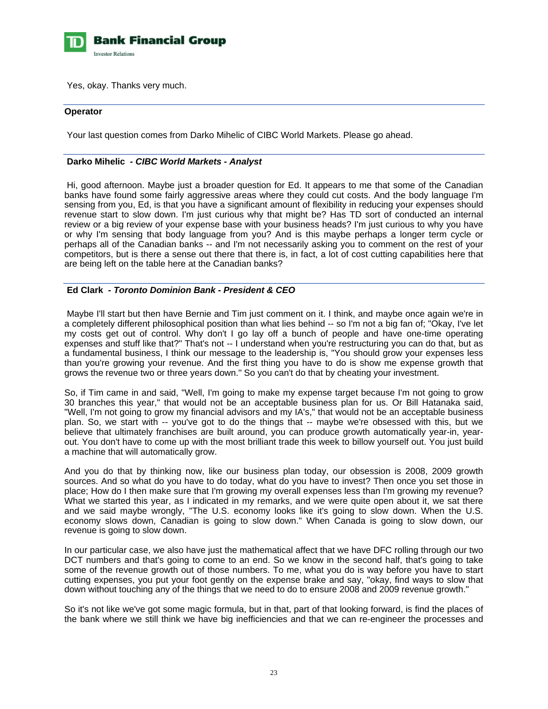

Yes, okay. Thanks very much.

#### **Operator**

Your last question comes from Darko Mihelic of CIBC World Markets. Please go ahead.

### **Darko Mihelic** *- CIBC World Markets - Analyst*

 Hi, good afternoon. Maybe just a broader question for Ed. It appears to me that some of the Canadian banks have found some fairly aggressive areas where they could cut costs. And the body language I'm sensing from you, Ed, is that you have a significant amount of flexibility in reducing your expenses should revenue start to slow down. I'm just curious why that might be? Has TD sort of conducted an internal review or a big review of your expense base with your business heads? I'm just curious to why you have or why I'm sensing that body language from you? And is this maybe perhaps a longer term cycle or perhaps all of the Canadian banks -- and I'm not necessarily asking you to comment on the rest of your competitors, but is there a sense out there that there is, in fact, a lot of cost cutting capabilities here that are being left on the table here at the Canadian banks?

# **Ed Clark** *- Toronto Dominion Bank - President & CEO*

 Maybe I'll start but then have Bernie and Tim just comment on it. I think, and maybe once again we're in a completely different philosophical position than what lies behind -- so I'm not a big fan of; "Okay, I've let my costs get out of control. Why don't I go lay off a bunch of people and have one-time operating expenses and stuff like that?" That's not -- I understand when you're restructuring you can do that, but as a fundamental business, I think our message to the leadership is, "You should grow your expenses less than you're growing your revenue. And the first thing you have to do is show me expense growth that grows the revenue two or three years down." So you can't do that by cheating your investment.

So, if Tim came in and said, "Well, I'm going to make my expense target because I'm not going to grow 30 branches this year," that would not be an acceptable business plan for us. Or Bill Hatanaka said, "Well, I'm not going to grow my financial advisors and my IA's," that would not be an acceptable business plan. So, we start with -- you've got to do the things that -- maybe we're obsessed with this, but we believe that ultimately franchises are built around, you can produce growth automatically year-in, yearout. You don't have to come up with the most brilliant trade this week to billow yourself out. You just build a machine that will automatically grow.

And you do that by thinking now, like our business plan today, our obsession is 2008, 2009 growth sources. And so what do you have to do today, what do you have to invest? Then once you set those in place; How do I then make sure that I'm growing my overall expenses less than I'm growing my revenue? What we started this year, as I indicated in my remarks, and we were quite open about it, we sat there and we said maybe wrongly, "The U.S. economy looks like it's going to slow down. When the U.S. economy slows down, Canadian is going to slow down." When Canada is going to slow down, our revenue is going to slow down.

In our particular case, we also have just the mathematical affect that we have DFC rolling through our two DCT numbers and that's going to come to an end. So we know in the second half, that's going to take some of the revenue growth out of those numbers. To me, what you do is way before you have to start cutting expenses, you put your foot gently on the expense brake and say, "okay, find ways to slow that down without touching any of the things that we need to do to ensure 2008 and 2009 revenue growth."

So it's not like we've got some magic formula, but in that, part of that looking forward, is find the places of the bank where we still think we have big inefficiencies and that we can re-engineer the processes and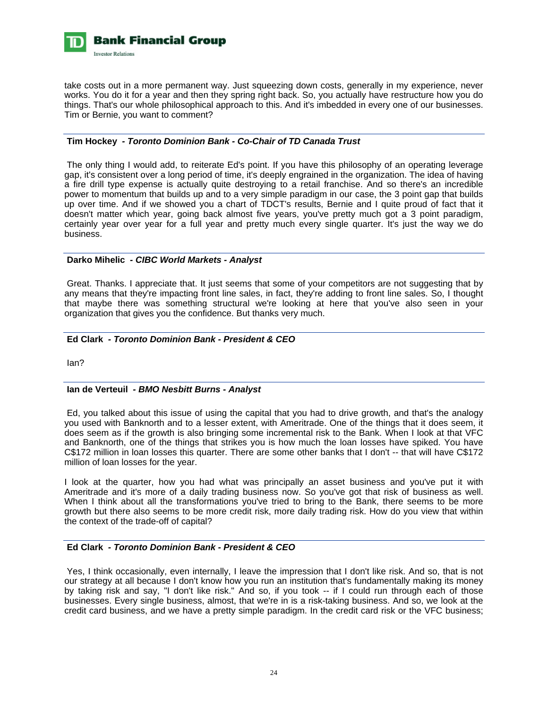

take costs out in a more permanent way. Just squeezing down costs, generally in my experience, never works. You do it for a year and then they spring right back. So, you actually have restructure how you do things. That's our whole philosophical approach to this. And it's imbedded in every one of our businesses. Tim or Bernie, you want to comment?

# **Tim Hockey** *- Toronto Dominion Bank - Co-Chair of TD Canada Trust*

 The only thing I would add, to reiterate Ed's point. If you have this philosophy of an operating leverage gap, it's consistent over a long period of time, it's deeply engrained in the organization. The idea of having a fire drill type expense is actually quite destroying to a retail franchise. And so there's an incredible power to momentum that builds up and to a very simple paradigm in our case, the 3 point gap that builds up over time. And if we showed you a chart of TDCT's results, Bernie and I quite proud of fact that it doesn't matter which year, going back almost five years, you've pretty much got a 3 point paradigm, certainly year over year for a full year and pretty much every single quarter. It's just the way we do business.

#### **Darko Mihelic** *- CIBC World Markets - Analyst*

 Great. Thanks. I appreciate that. It just seems that some of your competitors are not suggesting that by any means that they're impacting front line sales, in fact, they're adding to front line sales. So, I thought that maybe there was something structural we're looking at here that you've also seen in your organization that gives you the confidence. But thanks very much.

# **Ed Clark** *- Toronto Dominion Bank - President & CEO*

Ian?

# **Ian de Verteuil** *- BMO Nesbitt Burns - Analyst*

 Ed, you talked about this issue of using the capital that you had to drive growth, and that's the analogy you used with Banknorth and to a lesser extent, with Ameritrade. One of the things that it does seem, it does seem as if the growth is also bringing some incremental risk to the Bank. When I look at that VFC and Banknorth, one of the things that strikes you is how much the loan losses have spiked. You have C\$172 million in loan losses this quarter. There are some other banks that I don't -- that will have C\$172 million of loan losses for the year.

I look at the quarter, how you had what was principally an asset business and you've put it with Ameritrade and it's more of a daily trading business now. So you've got that risk of business as well. When I think about all the transformations you've tried to bring to the Bank, there seems to be more growth but there also seems to be more credit risk, more daily trading risk. How do you view that within the context of the trade-off of capital?

# **Ed Clark** *- Toronto Dominion Bank - President & CEO*

 Yes, I think occasionally, even internally, I leave the impression that I don't like risk. And so, that is not our strategy at all because I don't know how you run an institution that's fundamentally making its money by taking risk and say, "I don't like risk." And so, if you took -- if I could run through each of those businesses. Every single business, almost, that we're in is a risk-taking business. And so, we look at the credit card business, and we have a pretty simple paradigm. In the credit card risk or the VFC business;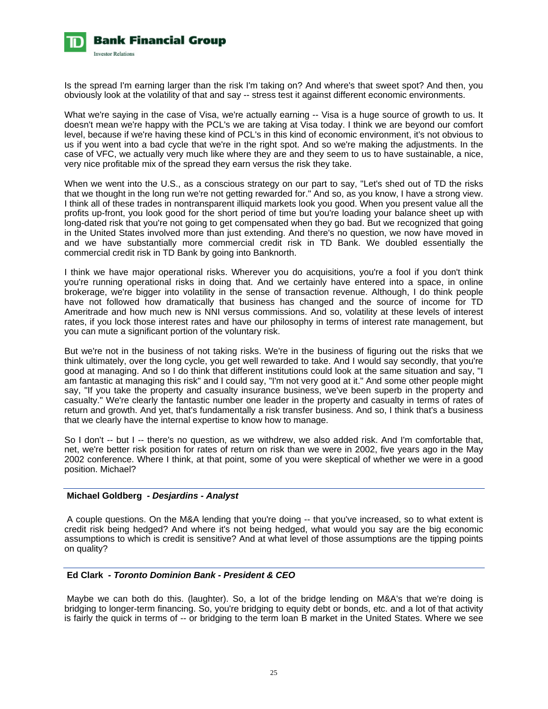

Is the spread I'm earning larger than the risk I'm taking on? And where's that sweet spot? And then, you obviously look at the volatility of that and say -- stress test it against different economic environments.

What we're saying in the case of Visa, we're actually earning -- Visa is a huge source of growth to us. It doesn't mean we're happy with the PCL's we are taking at Visa today. I think we are beyond our comfort level, because if we're having these kind of PCL's in this kind of economic environment, it's not obvious to us if you went into a bad cycle that we're in the right spot. And so we're making the adjustments. In the case of VFC, we actually very much like where they are and they seem to us to have sustainable, a nice, very nice profitable mix of the spread they earn versus the risk they take.

When we went into the U.S., as a conscious strategy on our part to say, "Let's shed out of TD the risks that we thought in the long run we're not getting rewarded for." And so, as you know, I have a strong view. I think all of these trades in nontransparent illiquid markets look you good. When you present value all the profits up-front, you look good for the short period of time but you're loading your balance sheet up with long-dated risk that you're not going to get compensated when they go bad. But we recognized that going in the United States involved more than just extending. And there's no question, we now have moved in and we have substantially more commercial credit risk in TD Bank. We doubled essentially the commercial credit risk in TD Bank by going into Banknorth.

I think we have major operational risks. Wherever you do acquisitions, you're a fool if you don't think you're running operational risks in doing that. And we certainly have entered into a space, in online brokerage, we're bigger into volatility in the sense of transaction revenue. Although, I do think people have not followed how dramatically that business has changed and the source of income for TD Ameritrade and how much new is NNI versus commissions. And so, volatility at these levels of interest rates, if you lock those interest rates and have our philosophy in terms of interest rate management, but you can mute a significant portion of the voluntary risk.

But we're not in the business of not taking risks. We're in the business of figuring out the risks that we think ultimately, over the long cycle, you get well rewarded to take. And I would say secondly, that you're good at managing. And so I do think that different institutions could look at the same situation and say, "I am fantastic at managing this risk" and I could say, "I'm not very good at it." And some other people might say, "If you take the property and casualty insurance business, we've been superb in the property and casualty." We're clearly the fantastic number one leader in the property and casualty in terms of rates of return and growth. And yet, that's fundamentally a risk transfer business. And so, I think that's a business that we clearly have the internal expertise to know how to manage.

So I don't -- but I -- there's no question, as we withdrew, we also added risk. And I'm comfortable that, net, we're better risk position for rates of return on risk than we were in 2002, five years ago in the May 2002 conference. Where I think, at that point, some of you were skeptical of whether we were in a good position. Michael?

#### **Michael Goldberg** *- Desjardins - Analyst*

 A couple questions. On the M&A lending that you're doing -- that you've increased, so to what extent is credit risk being hedged? And where it's not being hedged, what would you say are the big economic assumptions to which is credit is sensitive? And at what level of those assumptions are the tipping points on quality?

# **Ed Clark** *- Toronto Dominion Bank - President & CEO*

 Maybe we can both do this. (laughter). So, a lot of the bridge lending on M&A's that we're doing is bridging to longer-term financing. So, you're bridging to equity debt or bonds, etc. and a lot of that activity is fairly the quick in terms of -- or bridging to the term loan B market in the United States. Where we see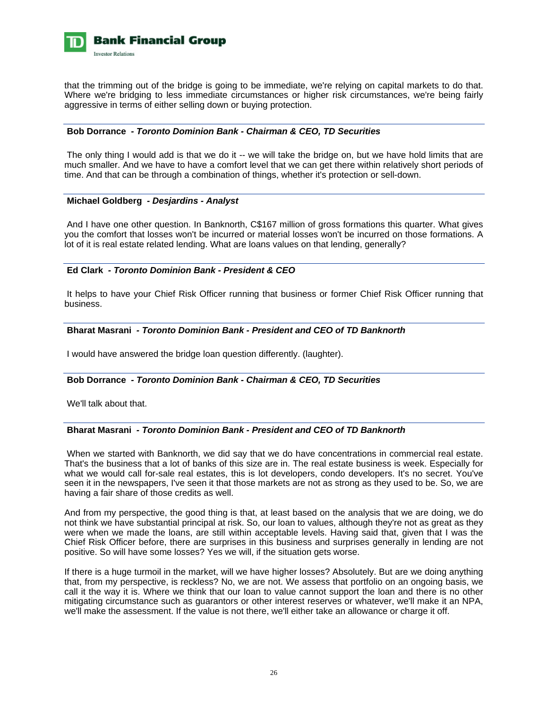

that the trimming out of the bridge is going to be immediate, we're relying on capital markets to do that. Where we're bridging to less immediate circumstances or higher risk circumstances, we're being fairly aggressive in terms of either selling down or buying protection.

# **Bob Dorrance** *- Toronto Dominion Bank - Chairman & CEO, TD Securities*

The only thing I would add is that we do it -- we will take the bridge on, but we have hold limits that are much smaller. And we have to have a comfort level that we can get there within relatively short periods of time. And that can be through a combination of things, whether it's protection or sell-down.

#### **Michael Goldberg** *- Desjardins - Analyst*

 And I have one other question. In Banknorth, C\$167 million of gross formations this quarter. What gives you the comfort that losses won't be incurred or material losses won't be incurred on those formations. A lot of it is real estate related lending. What are loans values on that lending, generally?

# **Ed Clark** *- Toronto Dominion Bank - President & CEO*

 It helps to have your Chief Risk Officer running that business or former Chief Risk Officer running that business.

# **Bharat Masrani** *- Toronto Dominion Bank - President and CEO of TD Banknorth*

I would have answered the bridge loan question differently. (laughter).

#### **Bob Dorrance** *- Toronto Dominion Bank - Chairman & CEO, TD Securities*

We'll talk about that.

# **Bharat Masrani** *- Toronto Dominion Bank - President and CEO of TD Banknorth*

When we started with Banknorth, we did say that we do have concentrations in commercial real estate. That's the business that a lot of banks of this size are in. The real estate business is week. Especially for what we would call for-sale real estates, this is lot developers, condo developers. It's no secret. You've seen it in the newspapers, I've seen it that those markets are not as strong as they used to be. So, we are having a fair share of those credits as well.

And from my perspective, the good thing is that, at least based on the analysis that we are doing, we do not think we have substantial principal at risk. So, our loan to values, although they're not as great as they were when we made the loans, are still within acceptable levels. Having said that, given that I was the Chief Risk Officer before, there are surprises in this business and surprises generally in lending are not positive. So will have some losses? Yes we will, if the situation gets worse.

If there is a huge turmoil in the market, will we have higher losses? Absolutely. But are we doing anything that, from my perspective, is reckless? No, we are not. We assess that portfolio on an ongoing basis, we call it the way it is. Where we think that our loan to value cannot support the loan and there is no other mitigating circumstance such as guarantors or other interest reserves or whatever, we'll make it an NPA, we'll make the assessment. If the value is not there, we'll either take an allowance or charge it off.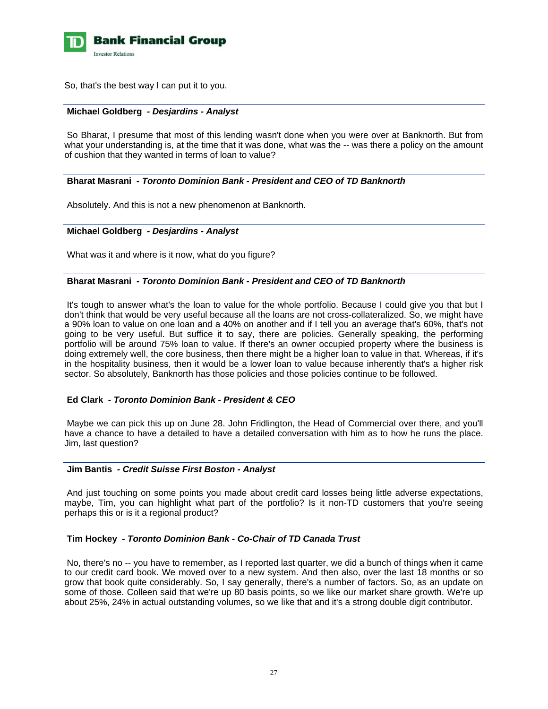

So, that's the best way I can put it to you.

#### **Michael Goldberg** *- Desjardins - Analyst*

 So Bharat, I presume that most of this lending wasn't done when you were over at Banknorth. But from what your understanding is, at the time that it was done, what was the -- was there a policy on the amount of cushion that they wanted in terms of loan to value?

# **Bharat Masrani** *- Toronto Dominion Bank - President and CEO of TD Banknorth*

Absolutely. And this is not a new phenomenon at Banknorth.

#### **Michael Goldberg** *- Desjardins - Analyst*

What was it and where is it now, what do you figure?

#### **Bharat Masrani** *- Toronto Dominion Bank - President and CEO of TD Banknorth*

 It's tough to answer what's the loan to value for the whole portfolio. Because I could give you that but I don't think that would be very useful because all the loans are not cross-collateralized. So, we might have a 90% loan to value on one loan and a 40% on another and if I tell you an average that's 60%, that's not going to be very useful. But suffice it to say, there are policies. Generally speaking, the performing portfolio will be around 75% loan to value. If there's an owner occupied property where the business is doing extremely well, the core business, then there might be a higher loan to value in that. Whereas, if it's in the hospitality business, then it would be a lower loan to value because inherently that's a higher risk sector. So absolutely, Banknorth has those policies and those policies continue to be followed.

# **Ed Clark** *- Toronto Dominion Bank - President & CEO*

 Maybe we can pick this up on June 28. John Fridlington, the Head of Commercial over there, and you'll have a chance to have a detailed to have a detailed conversation with him as to how he runs the place. Jim, last question?

#### **Jim Bantis** *- Credit Suisse First Boston - Analyst*

 And just touching on some points you made about credit card losses being little adverse expectations, maybe, Tim, you can highlight what part of the portfolio? Is it non-TD customers that you're seeing perhaps this or is it a regional product?

#### **Tim Hockey** *- Toronto Dominion Bank - Co-Chair of TD Canada Trust*

 No, there's no -- you have to remember, as I reported last quarter, we did a bunch of things when it came to our credit card book. We moved over to a new system. And then also, over the last 18 months or so grow that book quite considerably. So, I say generally, there's a number of factors. So, as an update on some of those. Colleen said that we're up 80 basis points, so we like our market share growth. We're up about 25%, 24% in actual outstanding volumes, so we like that and it's a strong double digit contributor.